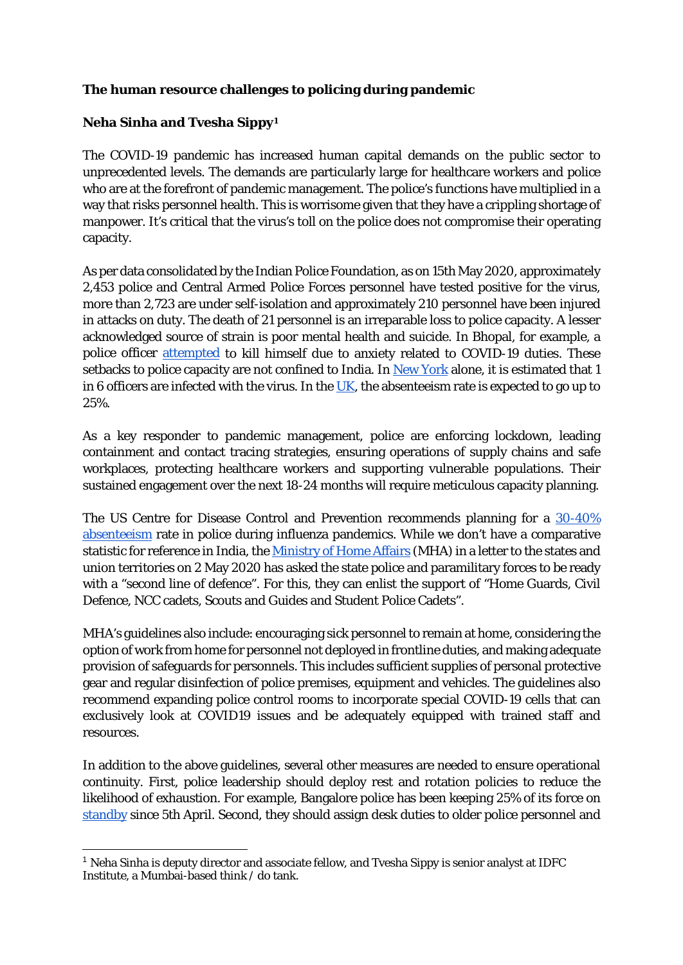## **The human resource challenges to policing during pandemic**

## **Neha Sinha and Tvesha Sippy[1](#page-0-0)**

The COVID-19 pandemic has increased human capital demands on the public sector to unprecedented levels. The demands are particularly large for healthcare workers and police who are at the forefront of pandemic management. The police's functions have multiplied in a way that risks personnel health. This is worrisome given that they have a crippling shortage of manpower. It's critical that the virus's toll on the police does not compromise their operating capacity.

As per data consolidated by the Indian Police Foundation, as on 15th May 2020, approximately 2,453 police and Central Armed Police Forces personnel have tested positive for the virus, more than 2,723 are under self-isolation and approximately 210 personnel have been injured in attacks on duty. The death of 21 personnel is an irreparable loss to police capacity. A lesser acknowledged source of strain is poor mental health and suicide. In Bhopal, for example, a police officer [attempted](https://www.indiatoday.in/india/story/cop-shoots-self-in-bhopal-was-stressed-over-duty-amid-coronavirus-pandemic-1666935-2020-04-14) to kill himself due to anxiety related to COVID-19 duties. These setbacks to police capacity are not confined to India. I[n New York](https://www.nytimes.com/2020/04/03/nyregion/coronavirus-nypd.html) alone, it is estimated that 1 in 6 officers are infected with the virus. In the [UK,](https://www.newsandstar.co.uk/news/18284906.one-four-officers-may-off-due-coronavirus/) the absenteeism rate is expected to go up to 25%.

As a key responder to pandemic management, police are enforcing lockdown, leading containment and contact tracing strategies, ensuring operations of supply chains and safe workplaces, protecting healthcare workers and supporting vulnerable populations. Their sustained engagement over the next 18-24 months will require meticulous capacity planning.

The US Centre for Disease Control and Prevention recommends planning for a [30-40%](https://www.cdc.gov/flu/pandemic-resources/pdf/lawenforcement.pdf)  [absenteeism](https://www.cdc.gov/flu/pandemic-resources/pdf/lawenforcement.pdf) rate in police during influenza pandemics. While we don't have a comparative statistic for reference in India, the [Ministry of Home Affairs](https://www.livemint.com/news/india/prepare-second-line-of-defence-as-many-cops-test-positive-for-virus-mha-to-states/amp-11588518452996.html) (MHA) in a letter to the states and union territories on 2 May 2020 has asked the state police and paramilitary forces to be ready with a "second line of defence". For this, they can enlist the support of "Home Guards, Civil Defence, NCC cadets, Scouts and Guides and Student Police Cadets".

MHA's guidelines also include: encouraging sick personnel to remain at home, considering the option of work from home for personnel not deployed in frontline duties, and making adequate provision of safeguards for personnels. This includes sufficient supplies of personal protective gear and regular disinfection of police premises, equipment and vehicles. The guidelines also recommend expanding police control rooms to incorporate special COVID-19 cells that can exclusively look at COVID19 issues and be adequately equipped with trained staff and resources.

In addition to the above guidelines, several other measures are needed to ensure operational continuity. First, police leadership should deploy rest and rotation policies to reduce the likelihood of exhaustion. For example, Bangalore police has been keeping 25% of its force on [standby](https://twitter.com/deepolice12/status/1257123463208157184) since 5th April. Second, they should assign desk duties to older police personnel and

<span id="page-0-0"></span><sup>1</sup> Neha Sinha is deputy director and associate fellow, and Tvesha Sippy is senior analyst at IDFC Institute, a Mumbai-based think / do tank.